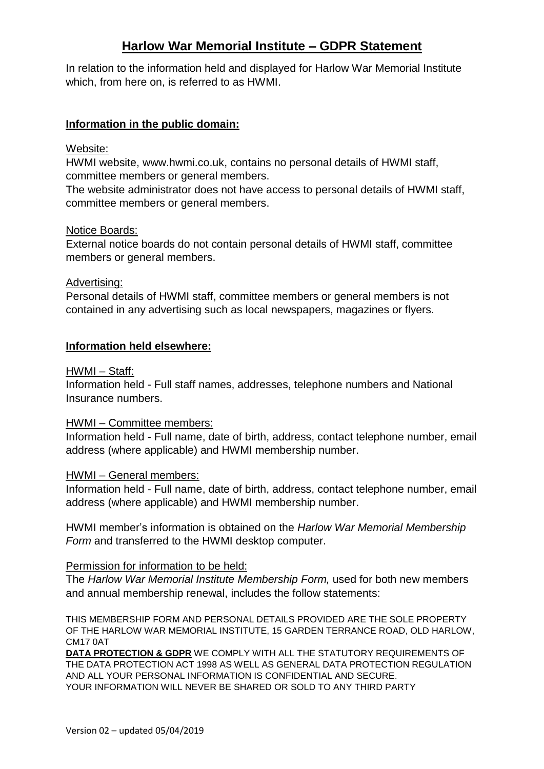# **Harlow War Memorial Institute – GDPR Statement**

In relation to the information held and displayed for Harlow War Memorial Institute which, from here on, is referred to as HWMI.

# **Information in the public domain:**

#### Website:

HWMI website, [www.hwmi.co.uk,](http://www.hwmi.co.uk/) contains no personal details of HWMI staff, committee members or general members.

The website administrator does not have access to personal details of HWMI staff, committee members or general members.

#### Notice Boards:

External notice boards do not contain personal details of HWMI staff, committee members or general members.

### Advertising:

Personal details of HWMI staff, committee members or general members is not contained in any advertising such as local newspapers, magazines or flyers.

#### **Information held elsewhere:**

#### HWMI – Staff:

Information held - Full staff names, addresses, telephone numbers and National Insurance numbers.

#### HWMI – Committee members:

Information held - Full name, date of birth, address, contact telephone number, email address (where applicable) and HWMI membership number.

#### HWMI – General members:

Information held - Full name, date of birth, address, contact telephone number, email address (where applicable) and HWMI membership number.

HWMI member's information is obtained on the *Harlow War Memorial Membership Form* and transferred to the HWMI desktop computer.

#### Permission for information to be held:

The *Harlow War Memorial Institute Membership Form,* used for both new members and annual membership renewal, includes the follow statements:

THIS MEMBERSHIP FORM AND PERSONAL DETAILS PROVIDED ARE THE SOLE PROPERTY OF THE HARLOW WAR MEMORIAL INSTITUTE, 15 GARDEN TERRANCE ROAD, OLD HARLOW, CM17 0AT

**DATA PROTECTION & GDPR** WE COMPLY WITH ALL THE STATUTORY REQUIREMENTS OF THE DATA PROTECTION ACT 1998 AS WELL AS GENERAL DATA PROTECTION REGULATION AND ALL YOUR PERSONAL INFORMATION IS CONFIDENTIAL AND SECURE. YOUR INFORMATION WILL NEVER BE SHARED OR SOLD TO ANY THIRD PARTY